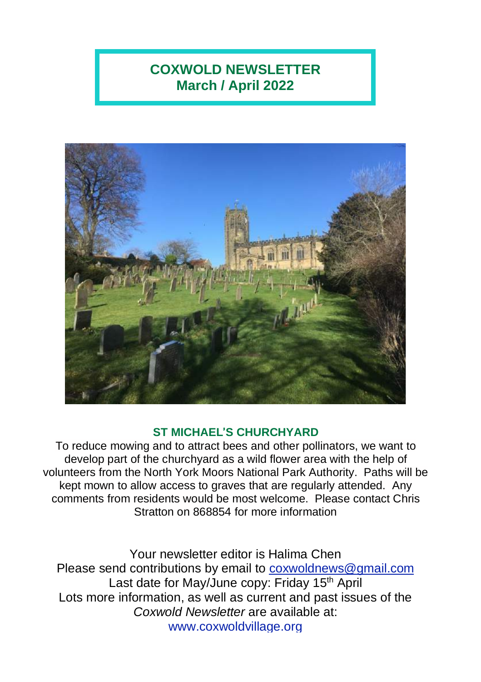# **COXWOLD NEWSLETTER March / April 2022**



### **ST MICHAEL**'**S CHURCHYARD**

To reduce mowing and to attract bees and other pollinators, we want to develop part of the churchyard as a wild flower area with the help of volunteers from the North York Moors National Park Authority. Paths will be kept mown to allow access to graves that are regularly attended. Any comments from residents would be most welcome. Please contact Chris Stratton on 868854 for more information

Your newsletter editor is Halima Chen Please send contributions by email to [coxwoldnews@gmail.com](mailto:coxwoldnews@gmail.com) Last date for May/June copy: Friday 15<sup>th</sup> April Lots more information, as well as current and past issues of the *Coxwold Newsletter* are available at: [www.coxwoldvillage.org](http://www.coxwoldvillage.org/)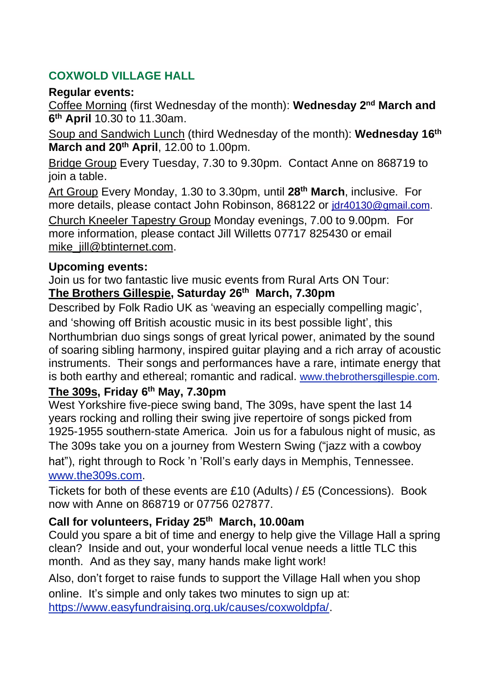# **COXWOLD VILLAGE HALL**

#### **Regular events:**

Coffee Morning (first Wednesday of the month): **Wednesday 2 nd March and 6 th April** 10.30 to 11.30am.

Soup and Sandwich Lunch (third Wednesday of the month): **Wednesday 16th March and 20th April**, 12.00 to 1.00pm.

Bridge Group Every Tuesday, 7.30 to 9.30pm. Contact Anne on 868719 to join a table.

Art Group Every Monday, 1.30 to 3.30pm, until **28th March**, inclusive. For more details, please contact John Robinson, 868122 or [jdr40130@gmail.com.](mailto:jdr40130@gmail.com)

Church Kneeler Tapestry Group Monday evenings, 7.00 to 9.00pm. For more information, please contact Jill Willetts 07717 825430 or email [mike\\_jill@btinternet.com.](mailto:mike_jill@btinternet.com)

#### **Upcoming events:**

Join us for two fantastic live music events from Rural Arts ON Tour: **The Brothers Gillespie, Saturday 26th March, 7.30pm**

Described by Folk Radio UK as 'weaving an especially compelling magic', and 'showing off British acoustic music in its best possible light', this Northumbrian duo sings songs of great lyrical power, animated by the sound of soaring sibling harmony, inspired guitar playing and a rich array of acoustic instruments. Their songs and performances have a rare, intimate energy that is both earthy and ethereal; romantic and radical. [www.thebrothersgillespie.com.](http://www.thebrothersgillespie.com/)

#### **The 309s, Friday 6 th May, 7.30pm**

West Yorkshire five-piece swing band, The 309s, have spent the last 14 years rocking and rolling their swing jive repertoire of songs picked from 1925-1955 southern-state America. Join us for a fabulous night of music, as The 309s take you on a journey from Western Swing ("jazz with a cowboy hat"), right through to Rock 'n 'Roll's early days in Memphis, Tennessee. [www.the309s.com.](http://www.the309s.com/)

Tickets for both of these events are £10 (Adults) / £5 (Concessions). Book now with Anne on 868719 or 07756 027877.

# **Call for volunteers, Friday 25th March, 10.00am**

Could you spare a bit of time and energy to help give the Village Hall a spring clean? Inside and out, your wonderful local venue needs a little TLC this month. And as they say, many hands make light work!

Also, don't forget to raise funds to support the Village Hall when you shop online. It's simple and only takes two minutes to sign up at: [https://www.easyfundraising.org.uk/causes/coxwoldpfa/.](https://www.easyfundraising.org.uk/causes/coxwoldpfa/)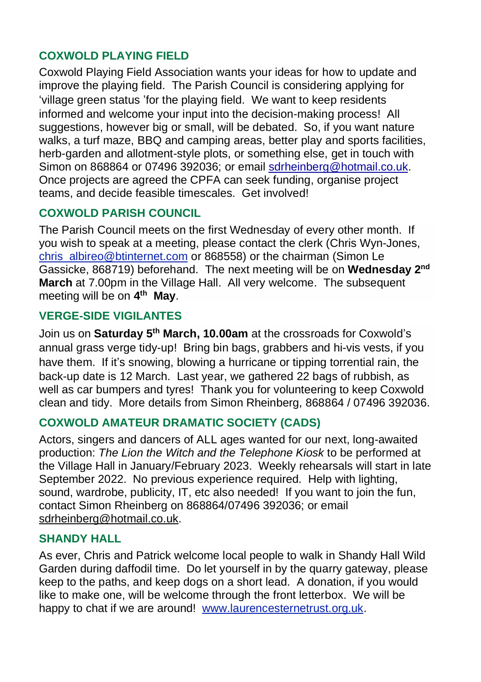### **COXWOLD PLAYING FIELD**

Coxwold Playing Field Association wants your ideas for how to update and improve the playing field. The Parish Council is considering applying for 'village green status 'for the playing field. We want to keep residents informed and welcome your input into the decision-making process! All suggestions, however big or small, will be debated. So, if you want nature walks, a turf maze, BBQ and camping areas, better play and sports facilities, herb-garden and allotment-style plots, or something else, get in touch with Simon on 868864 or 07496 392036; or email [sdrheinberg@hotmail.co.uk.](mailto:sdrheinberg@hotmail.co.uk) Once projects are agreed the CPFA can seek funding, organise project teams, and decide feasible timescales. Get involved!

## **COXWOLD PARISH COUNCIL**

The Parish Council meets on the first Wednesday of every other month. If you wish to speak at a meeting, please contact the clerk (Chris Wyn-Jones, [chris\\_albireo@btinternet.com](mailto:chris_albireo@btinternet.com) or 868558) or the chairman (Simon Le Gassicke, 868719) beforehand. The next meeting will be on **Wednesday 2 nd March** at 7.00pm in the Village Hall. All very welcome. The subsequent meeting will be on **4 th May**.

## **VERGE-SIDE VIGILANTES**

Join us on **Saturday 5 th March, 10.00am** at the crossroads for Coxwold's annual grass verge tidy-up! Bring bin bags, grabbers and hi-vis vests, if you have them. If it's snowing, blowing a hurricane or tipping torrential rain, the back-up date is 12 March. Last year, we gathered 22 bags of rubbish, as well as car bumpers and tyres! Thank you for volunteering to keep Coxwold clean and tidy. More details from Simon Rheinberg, 868864 / 07496 392036.

#### **COXWOLD AMATEUR DRAMATIC SOCIETY (CADS)**

Actors, singers and dancers of ALL ages wanted for our next, long-awaited production: *The Lion the Witch and the Telephone Kiosk* to be performed at the Village Hall in January/February 2023. Weekly rehearsals will start in late September 2022. No previous experience required. Help with lighting, sound, wardrobe, publicity, IT, etc also needed! If you want to join the fun, contact Simon Rheinberg on 868864/07496 392036; or email [sdrheinberg@hotmail.co.uk.](mailto:sdrheinberg@hotmail.co.uk)

#### **SHANDY HALL**

As ever, Chris and Patrick welcome local people to walk in Shandy Hall Wild Garden during daffodil time. Do let yourself in by the quarry gateway, please keep to the paths, and keep dogs on a short lead. A donation, if you would like to make one, will be welcome through the front letterbox. We will be happy to chat if we are around! [www.laurencesternetrust.org.uk.](http://www.laurencesternetrust.org.uk/)